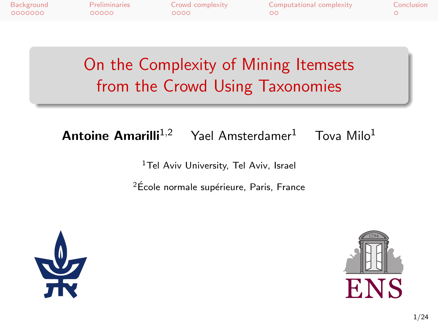| Background | Preliminaries | Crowd complexity | Computational complexity | Conclusion |
|------------|---------------|------------------|--------------------------|------------|
| - QQQQQQQ  | 00000         | 0000             | ററ                       |            |

On the Complexity of Mining Itemsets from the Crowd Using Taxonomies

**Antoine Amarilli**<sup>1,2</sup> Yael Amsterdamer<sup>1</sup> Tova Milo<sup>1</sup>

<sup>1</sup>Tel Aviv University, Tel Aviv, Israel

<sup>2</sup>École normale supérieure, Paris, France



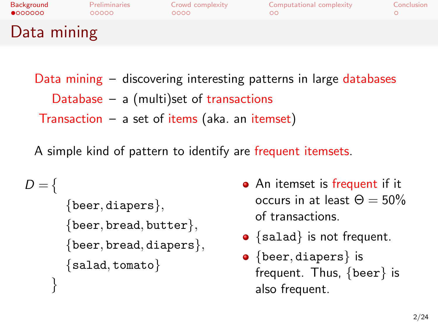| Background<br>$\bullet$ 000000 | <b>Preliminaries</b><br>00000 | Crowd complexity<br>0000 | Computational complexity | Conclusion |
|--------------------------------|-------------------------------|--------------------------|--------------------------|------------|
| Data mining                    |                               |                          |                          |            |

Data mining – discovering interesting patterns in large databases Database – a (multi)set of transactions Transaction  $-$  a set of items (aka. an itemset)

A simple kind of pattern to identify are frequent itemsets.

```
D = \{{beer, diapers},
       {beer, bread, butter},{beer, bread, diapers},
       {salad, tomato}
    }
```
- An itemset is frequent if it occurs in at least  $\Theta = 50\%$ of transactions.
- ${s$ alad} is not frequent.
- <span id="page-1-0"></span>• {beer, diapers} is frequent. Thus, {beer} is also frequent.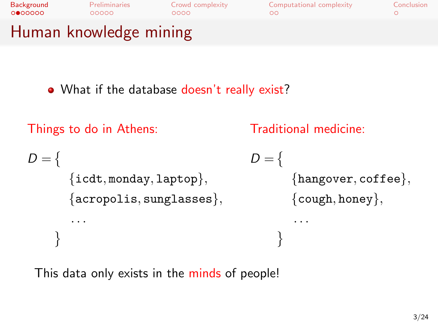

. What if the database doesn't really exist?

```
Things to do in Athens:
D = \{\{icdt, \text{monday}, \text{laptop}\},\{acropolis, sunglasses},
         . . .
     }
                                            Traditional medicine:
                                            D = \{{hangover, coffee},
                                                    {cough, honey},
                                                     . . .
                                                  }
```
This data only exists in the minds of people!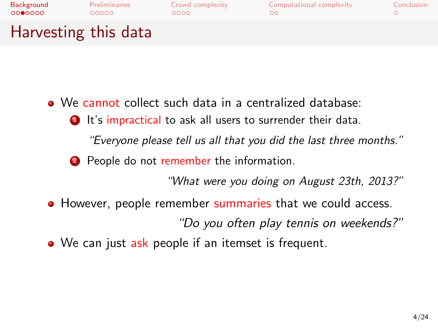| Background<br>0000000 | <b>Preliminaries</b><br>00000 | Crowd complexity<br>ററററ | Computational complexity | Conclusion |
|-----------------------|-------------------------------|--------------------------|--------------------------|------------|
| Harvesting this data  |                               |                          |                          |            |

- We cannot collect such data in a centralized database:
	- **1** It's impractical to ask all users to surrender their data.

"Everyone please tell us all that you did the last three months."

2 People do not remember the information.

"What were you doing on August 23th, 2013?"

• However, people remember summaries that we could access.

"Do you often play tennis on weekends?"

• We can just ask people if an itemset is frequent.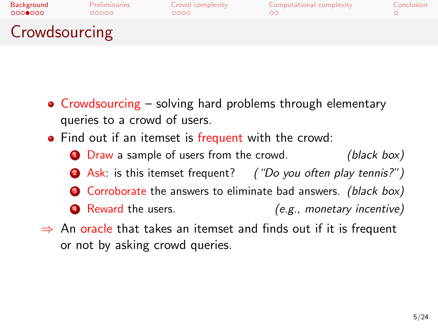| Background    | <b>Preliminaries</b> | Crowd complexity | Computational complexity | Conclusion |
|---------------|----------------------|------------------|--------------------------|------------|
| 0000000       | 00000                | ററററ             | nc                       |            |
| Crowdsourcing |                      |                  |                          |            |

- Crowdsourcing solving hard problems through elementary queries to a crowd of users.
- Find out if an itemset is frequent with the crowd:
	- **1** Draw a sample of users from the crowd. (black box) **2** Ask: is this itemset frequent? ("Do you often play tennis?")
	- $\bullet$  Corroborate the answers to eliminate bad answers. (black box)
	- <sup>4</sup> Reward the users. (e.g., monetary incentive)
- $\Rightarrow$  An oracle that takes an itemset and finds out if it is frequent or not by asking crowd queries.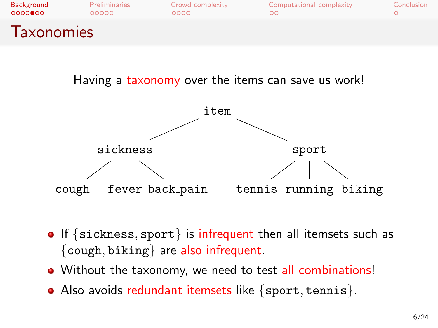| Background         | Preliminaries | Crowd complexity | Computational complexity | Conclusion |
|--------------------|---------------|------------------|--------------------------|------------|
| $0000$ $00$        | 00000         | 0000             | ററ                       |            |
| <i>l</i> axonomies |               |                  |                          |            |

Having a taxonomy over the items can save us work!



- $\bullet$  If {sickness, sport} is infrequent then all itemsets such as  $\{cough, biking\}$  are also infrequent.
- Without the taxonomy, we need to test all combinations!
- Also avoids redundant itemsets like {sport, tennis}.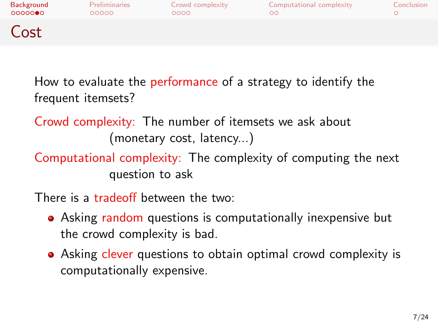| Background<br>00000 | <b>Preliminaries</b><br>00000 | Crowd complexity<br>0000 | Computational complexity | Conclusion |
|---------------------|-------------------------------|--------------------------|--------------------------|------------|
| Cost                |                               |                          |                          |            |

How to evaluate the performance of a strategy to identify the frequent itemsets?

Crowd complexity: The number of itemsets we ask about (monetary cost, latency...)

Computational complexity: The complexity of computing the next question to ask

There is a tradeoff between the two:

- Asking random questions is computationally inexpensive but the crowd complexity is bad.
- Asking clever questions to obtain optimal crowd complexity is computationally expensive.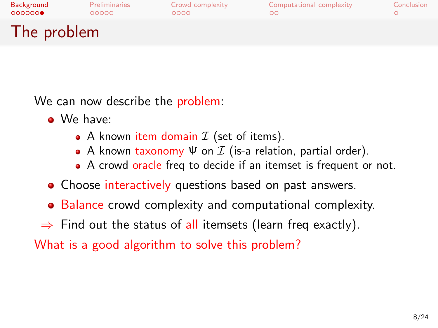| Background<br>000000 | <b>Preliminaries</b><br>00000 | Crowd complexity<br>ററററ | Computational complexity | Conclusion |
|----------------------|-------------------------------|--------------------------|--------------------------|------------|
| The problem          |                               |                          |                          |            |

We can now describe the problem:

- We have:
	- A known item domain  $\mathcal I$  (set of items).
	- A known taxonomy  $\Psi$  on  $\mathcal I$  (is-a relation, partial order).
	- A crowd oracle freq to decide if an itemset is frequent or not.
- Choose interactively questions based on past answers.
- Balance crowd complexity and computational complexity.
- $\Rightarrow$  Find out the status of all itemsets (learn freq exactly).

What is a good algorithm to solve this problem?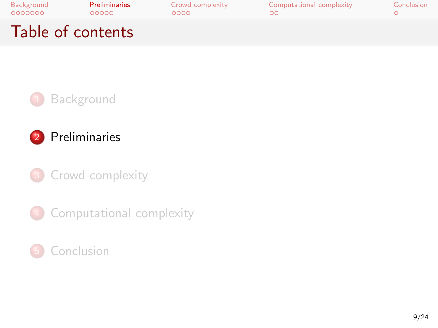| Background<br>0000000 | <b>Preliminaries</b><br>00000 | Crowd complexity<br>റററെ | Computational complexity | Conclusion |
|-----------------------|-------------------------------|--------------------------|--------------------------|------------|
|                       | Table of contents             |                          |                          |            |





<sup>3</sup> [Crowd complexity](#page-14-0)

4 [Computational complexity](#page-19-0)

#### <span id="page-8-0"></span>**[Conclusion](#page-22-0)**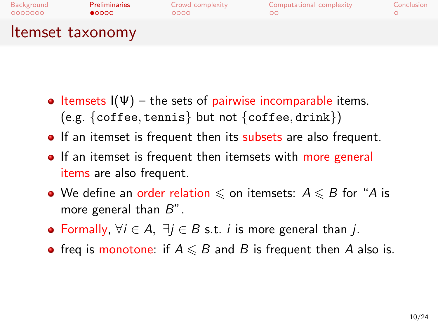

- Itemsets  $I(\Psi)$  the sets of pairwise incomparable items. (e.g. {coffee, tennis} but not {coffee, drink})
- If an itemset is frequent then its subsets are also frequent.
- If an itemset is frequent then itemsets with more general items are also frequent.
- We define an order relation  $\leq$  on itemsets:  $A \leq B$  for "A is more general than B".
- Formally,  $\forall i \in A$ ,  $\exists i \in B$  s.t. *i* is more general than *i*.
- freq is monotone: if  $A \leq B$  and B is frequent then A also is.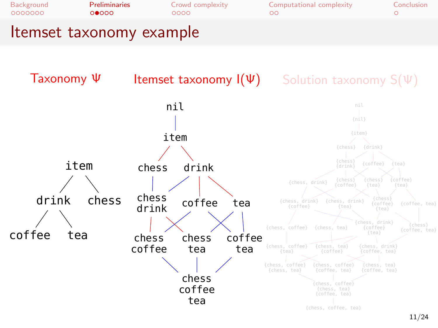

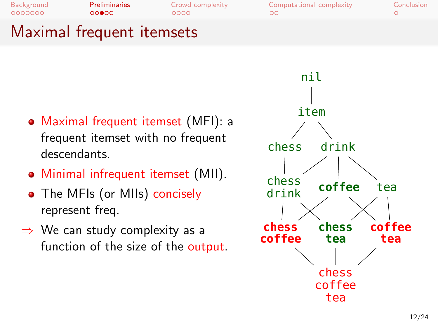0000000  $00000$ 

 $0000$ 

[Background](#page-1-0) [Preliminaries](#page-8-0) [Crowd complexity](#page-14-0) [Computational complexity](#page-19-0) [Conclusion](#page-22-0)  $\circ$ 

### Maximal frequent itemsets

- Maximal frequent itemset (MFI): a frequent itemset with no frequent descendants.
- Minimal infrequent itemset (MII).
- The MFIs (or MIIs) concisely represent freq.
- $\Rightarrow$  We can study complexity as a function of the size of the output.

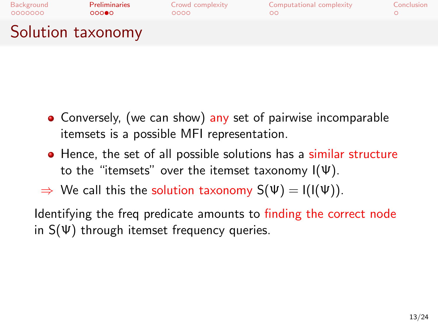| Background<br>0000000 | <b>Preliminaries</b><br>റററൈ | Crowd complexity<br>0000 | Computational complexity | Conclusion |
|-----------------------|------------------------------|--------------------------|--------------------------|------------|
| Solution taxonomy     |                              |                          |                          |            |

- Conversely, (we can show) any set of pairwise incomparable itemsets is a possible MFI representation.
- Hence, the set of all possible solutions has a similar structure to the "itemsets" over the itemset taxonomy  $I(\Psi)$ .
- $\Rightarrow$  We call this the solution taxonomy  $S(\Psi) = I(I(\Psi))$ .

Identifying the freq predicate amounts to finding the correct node in  $S(\Psi)$  through itemset frequency queries.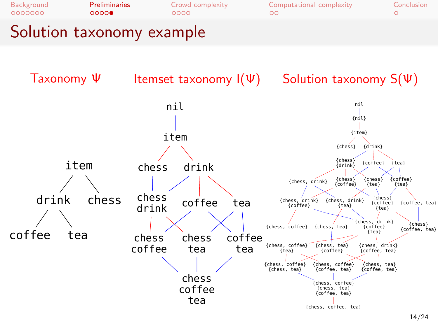



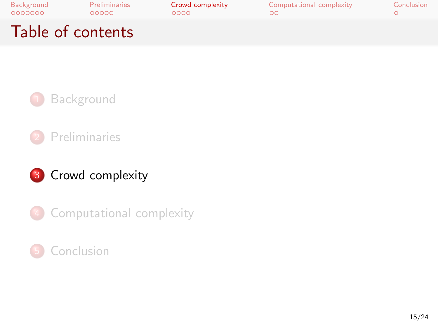| Background<br>0000000 | <b>Preliminaries</b><br>00000 | Crowd complexity<br>റററെ | Computational complexity | Conclusion |
|-----------------------|-------------------------------|--------------------------|--------------------------|------------|
| Table of contents     |                               |                          |                          |            |







4 [Computational complexity](#page-19-0)

#### <span id="page-14-0"></span>**[Conclusion](#page-22-0)**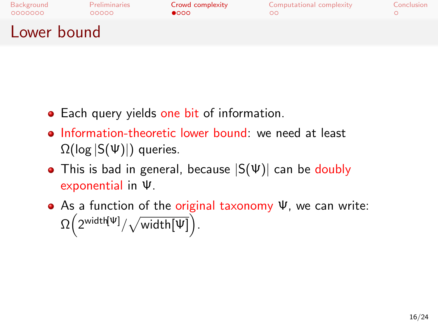| Background<br>0000000 | Preliminaries<br>00000 | Crowd complexity<br>$\bullet$ 000 | Computational complexity | Conclusion |
|-----------------------|------------------------|-----------------------------------|--------------------------|------------|
| Lower bound           |                        |                                   |                          |            |

- Each query yields one bit of information.
- Information-theoretic lower bound: we need at least  $\Omega(\log |S(\Psi)|)$  queries.
- This is bad in general, because  $|S(\Psi)|$  can be doubly exponential in Ψ.
- As a function of the original taxonomy Ψ, we can write:  $\Omega\left(2^{\textsf{width}\left[\Psi\right]}/\sqrt{\textsf{width}\left[\Psi\right]}\right).$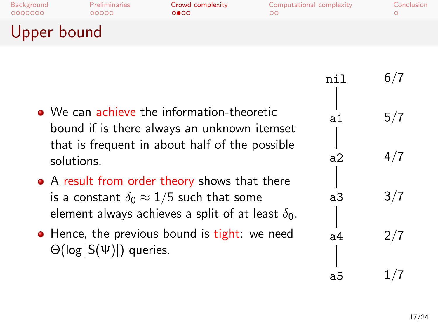| Background<br>0000000 | Preliminaries<br>00000 | Crowd complexity<br>റ∩െ | Computational complexity | Conclusion |
|-----------------------|------------------------|-------------------------|--------------------------|------------|
| Upper bound           |                        |                         |                          |            |

- We can achieve the information-theoretic bound if is there always an unknown itemset that is frequent in about half of the possible solutions.
- A result from order theory shows that there is a constant  $\delta_0 \approx 1/5$  such that some element always achieves a split of at least  $\delta_0$ .
- Hence, the previous bound is tight: we need  $\Theta(\log |S(\Psi)|)$  queries.

| nil | 6/7 |
|-----|-----|
|     |     |
| а1  | 5/7 |
| a2  | 4/7 |
| a3  | 3/7 |
| а4  |     |
|     | 2/7 |
| a5  | 1/7 |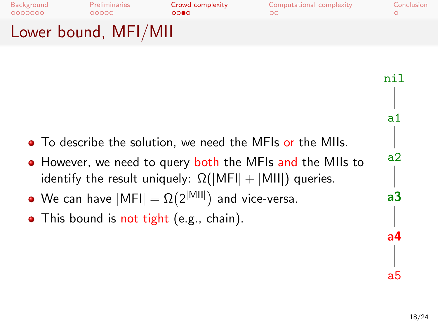[Background](#page-1-0) [Preliminaries](#page-8-0) [Crowd complexity](#page-14-0) [Computational complexity](#page-19-0) [Conclusion](#page-22-0) 0000000  $00000$  $0000$  $\circ$ Lower bound, MFI/MII

- To describe the solution, we need the MFIs or the MIIs. • However, we need to query both the MFIs and the MIIs to identify the result uniquely:  $\Omega(|MFI| + |MII|)$  queries. nil a1 a2
	- We can have  $|\textsf{MFI}| = \Omega(2^{|\textsf{MII}|})$  and vice-versa.
- This bound is not tight (e.g., chain).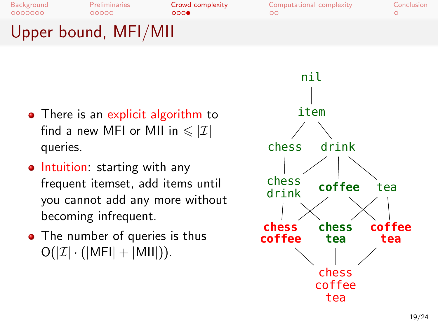0000000

 $00000$ 

[Background](#page-1-0) [Preliminaries](#page-8-0) **[Crowd complexity](#page-14-0)** [Computational complexity](#page-19-0) [Conclusion](#page-22-0)<br>
0000000 00000 0000 0000 000 00  $\circ$ 

# Upper bound, MFI/MII

- There is an explicit algorithm to find a new MFI or MII in  $\leqslant |\mathcal{I}|$ queries.
- Intuition: starting with any frequent itemset, add items until you cannot add any more without becoming infrequent.
- The number of queries is thus  $O(|\mathcal{I}| \cdot (|\mathsf{MFI}| + |\mathsf{MII}|)).$

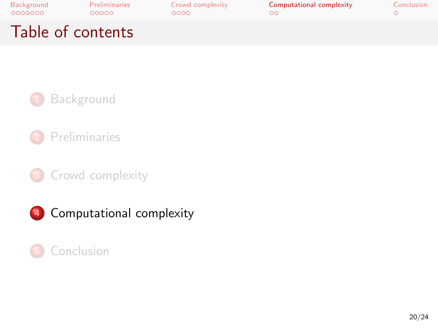| Background<br>0000000 | Preliminaries<br>00000 | Crowd complexity<br>റററെ | Computational complexity | Conclusion |
|-----------------------|------------------------|--------------------------|--------------------------|------------|
| Table of contents     |                        |                          |                          |            |



**[Preliminaries](#page-8-0)** 

<sup>3</sup> [Crowd complexity](#page-14-0)

4 [Computational complexity](#page-19-0)

#### <span id="page-19-0"></span>**[Conclusion](#page-22-0)**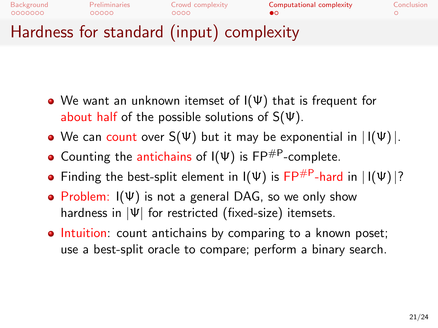

- We want an unknown itemset of I(Ψ) that is frequent for about half of the possible solutions of  $S(\Psi)$ .
- We can count over  $S(\Psi)$  but it may be exponential in  $\left| \right|(\Psi) \right|$ .
- Counting the antichains of  $I(\Psi)$  is FP<sup>#P</sup>-complete.
- Finding the best-split element in  $I(\Psi)$  is FP<sup>#P</sup>-hard in  $|I(\Psi)|$ ?
- Problem:  $I(\Psi)$  is not a general DAG, so we only show hardness in  $|\Psi|$  for restricted (fixed-size) itemsets.
- Intuition: count antichains by comparing to a known poset; use a best-split oracle to compare; perform a binary search.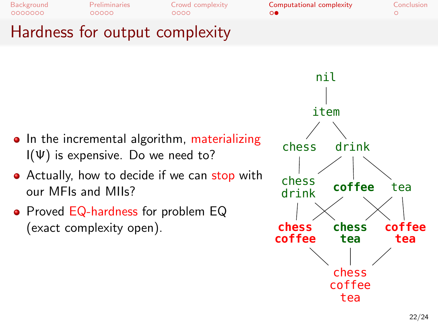[Background](#page-1-0) [Preliminaries](#page-8-0) [Crowd complexity](#page-14-0) [Computational complexity](#page-19-0) [Conclusion](#page-22-0)<br>
0000000 00000 0000 0000 000 0  $00000$ 

 $0000$ 

 $\circ$ 

### Hardness for output complexity

- In the incremental algorithm, materializing  $I(\Psi)$  is expensive. Do we need to?
- Actually, how to decide if we can stop with our MFIs and MIIs?
- Proved EQ-hardness for problem EQ (exact complexity open).

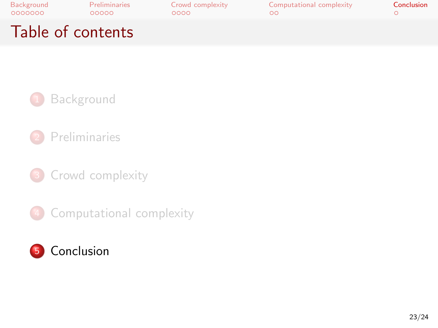| Background<br>0000000 | <b>Preliminaries</b><br>00000 | Crowd complexity<br>റററെ | Computational complexity | Conclusion |
|-----------------------|-------------------------------|--------------------------|--------------------------|------------|
| Table of contents     |                               |                          |                          |            |



**[Preliminaries](#page-8-0)** 

<sup>3</sup> [Crowd complexity](#page-14-0)

4 [Computational complexity](#page-19-0)

<span id="page-22-0"></span>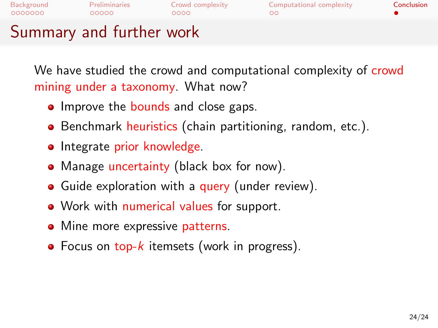[Background](#page-1-0) [Preliminaries](#page-8-0) [Crowd complexity](#page-14-0) [Computational complexity](#page-19-0) [Conclusion](#page-22-0) 0000000  $00000$  $\circ$ 

### Summary and further work

We have studied the crowd and computational complexity of crowd mining under a taxonomy. What now?

- Improve the bounds and close gaps.
- Benchmark heuristics (chain partitioning, random, etc.).
- Integrate prior knowledge.
- Manage uncertainty (black box for now).
- Guide exploration with a query (under review).
- Work with numerical values for support.
- Mine more expressive patterns.
- $\bullet$  Focus on top-k itemsets (work in progress).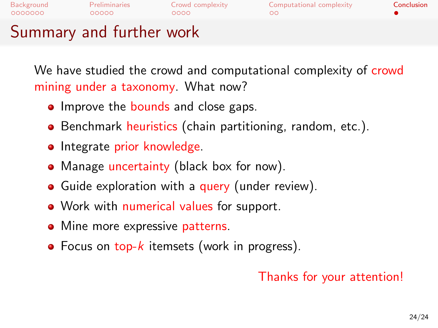[Background](#page-1-0) [Preliminaries](#page-8-0) [Crowd complexity](#page-14-0) [Computational complexity](#page-19-0) [Conclusion](#page-22-0) 0000000  $\circ$ 

### Summary and further work

We have studied the crowd and computational complexity of crowd mining under a taxonomy. What now?

- Improve the bounds and close gaps.
- Benchmark heuristics (chain partitioning, random, etc.).
- Integrate prior knowledge.
- Manage uncertainty (black box for now).
- Guide exploration with a query (under review).
- Work with numerical values for support.
- Mine more expressive patterns.
- $\bullet$  Focus on top-k itemsets (work in progress).

#### Thanks for your attention!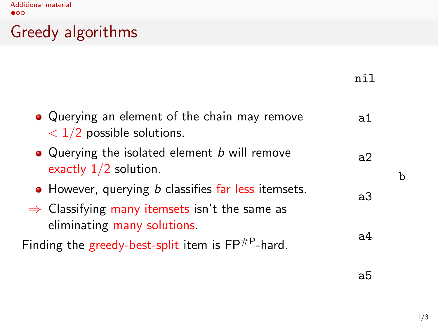[Additional material](#page-25-0)

## Greedy algorithms

|                                                                                                                                                        | nil |
|--------------------------------------------------------------------------------------------------------------------------------------------------------|-----|
| • Querying an element of the chain may remove<br>$<$ 1/2 possible solutions.                                                                           | ล1  |
| • Querying the isolated element b will remove<br>exactly $1/2$ solution.                                                                               | a2  |
| • However, querying <i>b</i> classifies far less itemsets.<br>$\Rightarrow$ Classifying many itemsets isn't the same as<br>eliminating many solutions. | aЗ  |
| Finding the greedy-best-split item is $\mathsf{FP}^{\#P}$ -hard.                                                                                       | a4  |
|                                                                                                                                                        | ab  |

<span id="page-25-0"></span>b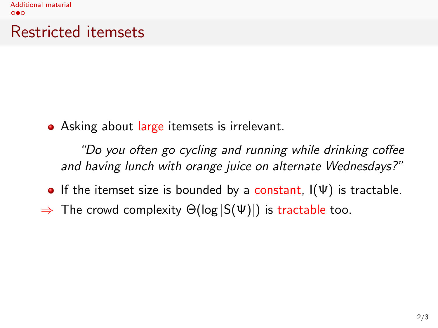### Restricted itemsets

• Asking about large itemsets is irrelevant.

"Do you often go cycling and running while drinking coffee and having lunch with orange juice on alternate Wednesdays?"

- If the itemset size is bounded by a constant,  $I(\Psi)$  is tractable.
- $\Rightarrow$  The crowd complexity  $\Theta(\log |S(\Psi)|)$  is tractable too.